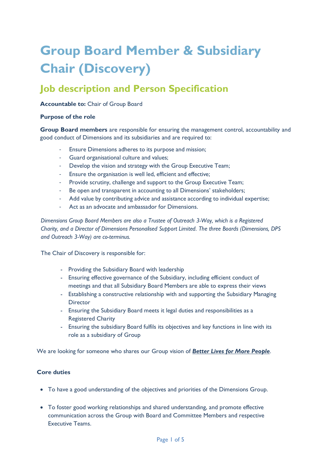# **Group Board Member & Subsidiary Chair (Discovery)**

# **Job description and Person Specification**

# **Accountable to:** Chair of Group Board

### **Purpose of the role**

**Group Board members** are responsible for ensuring the management control, accountability and good conduct of Dimensions and its subsidiaries and are required to:

- Ensure Dimensions adheres to its purpose and mission;
- ‐ Guard organisational culture and values;
- Develop the vision and strategy with the Group Executive Team;
- ‐ Ensure the organisation is well led, efficient and effective;
- Provide scrutiny, challenge and support to the Group Executive Team;
- ‐ Be open and transparent in accounting to all Dimensions' stakeholders;
- ‐ Add value by contributing advice and assistance according to individual expertise;
- ‐ Act as an advocate and ambassador for Dimensions.

*Dimensions Group Board Members are also a Trustee of Outreach 3-Way, which is a Registered Charity, and a Director of Dimensions Personalised Support Limited. The three Boards (Dimensions, DPS and Outreach 3-Way) are co-terminus.*

The Chair of Discovery is responsible for:

- Providing the Subsidiary Board with leadership
- Ensuring effective governance of the Subsidiary, including efficient conduct of meetings and that all Subsidiary Board Members are able to express their views
- Establishing a constructive relationship with and supporting the Subsidiary Managing **Director**
- Ensuring the Subsidiary Board meets it legal duties and responsibilities as a Registered Charity
- Ensuring the subsidiary Board fulfils its objectives and key functions in line with its role as a subsidiary of Group

We are looking for someone who shares our Group vision of *[Better Lives for More People](https://dimensions-uk.org/about/strategy-2025/)*.

# **Core duties**

- To have a good understanding of the objectives and priorities of the Dimensions Group.
- To foster good working relationships and shared understanding, and promote effective communication across the Group with Board and Committee Members and respective Executive Teams.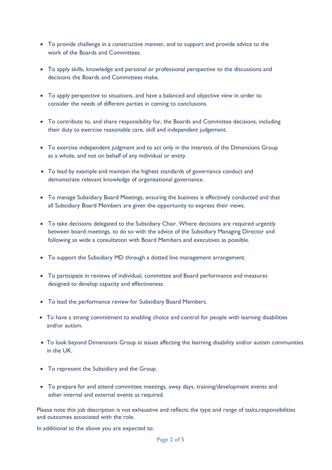- To provide challenge in a constructive manner, and to support and provide advice to the work of the Boards and Committees.
- To apply skills, knowledge and personal or professional perspective to the discussions and decisions the Boards and Committees make.
- To apply perspective to situations, and have a balanced and objective view in order to consider the needs of different parties in coming to conclusions.
- To contribute to, and share responsibility for, the Boards and Committee decisions, including their duty to exercise reasonable care, skill and independent judgement.
- To exercise independent judgment and to act only in the interests of the Dimensions Group as a whole, and not on behalf of any individual or entity.
- To lead by example and maintain the highest standards of governance conduct and demonstrate relevant knowledge of organisational governance.
- To manage Subsidiary Board Meetings, ensuring the business is effectively conducted and that all Subsidiary Board Members are given the opportunity to express their views.
- To take decisions delegated to the Subsidiary Chair. Where decisions are required urgently between board meetings, to do so with the advice of the Subsidiary Managing Director and following as wide a consultation with Board Members and executives as possible.
- To support the Subsidiary MD through a dotted line management arrangement.
- To participate in reviews of individual, committee and Board performance and measures designed to develop capacity and effectiveness.
- To lead the performance review for Subsidiary Board Members.
- To have a strong commitment to enabling choice and control for people with learning disabilities and/or autism.
- To look beyond Dimensions Group at issues affecting the learning disability and/or autism communities in the UK.
- To represent the Subsidiary and the Group.
- To prepare for and attend committee meetings, away days, training/development events and other internal and external events as required.

Please note this job description is not exhaustive and reflects the type and range of tasks,responsibilities and outcomes associated with the role.

In additional to the above you are expected to: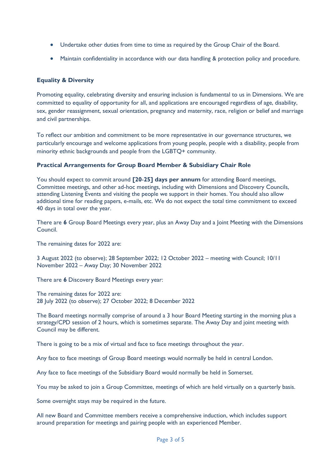- Undertake other duties from time to time as required by the Group Chair of the Board.
- Maintain confidentiality in accordance with our data handling & protection policy and procedure.

# **Equality & Diversity**

Promoting equality, celebrating diversity and ensuring inclusion is fundamental to us in Dimensions. We are committed to equality of opportunity for all, and applications are encouraged regardless of age, disability, sex, gender reassignment, sexual orientation, pregnancy and maternity, race, religion or belief and marriage and civil partnerships.

To reflect our ambition and commitment to be more representative in our governance structures, we particularly encourage and welcome applications from young people, people with a disability, people from minority ethnic backgrounds and people from the LGBTQ+ community.

# **Practical Arrangements for Group Board Member & Subsidiary Chair Role**

You should expect to commit around **[20**-**25] days per annum** for attending Board meetings, Committee meetings, and other ad-hoc meetings, including with Dimensions and Discovery Councils, attending Listening Events and visiting the people we support in their homes. You should also allow additional time for reading papers, e-mails, etc. We do not expect the total time commitment to exceed 40 days in total over the year.

There are **6** Group Board Meetings every year, plus an Away Day and a Joint Meeting with the Dimensions Council.

The remaining dates for 2022 are:

3 August 2022 (to observe); 28 September 2022; 12 October 2022 – meeting with Council; 10/11 November 2022 – Away Day; 30 November 2022

There are **6** Discovery Board Meetings every year:

The remaining dates for 2022 are: 28 July 2022 (to observe); 27 October 2022; 8 December 2022

The Board meetings normally comprise of around a 3 hour Board Meeting starting in the morning plus a strategy/CPD session of 2 hours, which is sometimes separate. The Away Day and joint meeting with Council may be different.

There is going to be a mix of virtual and face to face meetings throughout the year.

Any face to face meetings of Group Board meetings would normally be held in central London.

Any face to face meetings of the Subsidiary Board would normally be held in Somerset.

You may be asked to join a Group Committee, meetings of which are held virtually on a quarterly basis.

Some overnight stays may be required in the future.

All new Board and Committee members receive a comprehensive induction, which includes support around preparation for meetings and pairing people with an experienced Member.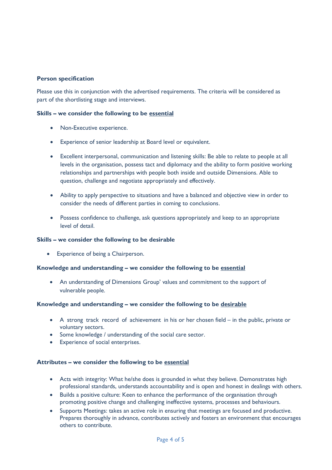# **Person specification**

Please use this in conjunction with the advertised requirements. The criteria will be considered as part of the shortlisting stage and interviews.

## **Skills – we consider the following to be essential**

- Non-Executive experience.
- Experience of senior leadership at Board level or equivalent.
- Excellent interpersonal, communication and listening skills: Be able to relate to people at all levels in the organisation, possess tact and diplomacy and the ability to form positive working relationships and partnerships with people both inside and outside Dimensions. Able to question, challenge and negotiate appropriately and effectively.
- Ability to apply perspective to situations and have a balanced and objective view in order to consider the needs of different parties in coming to conclusions.
- Possess confidence to challenge, ask questions appropriately and keep to an appropriate level of detail.

### **Skills – we consider the following to be desirable**

• Experience of being a Chairperson.

### **Knowledge and understanding – we consider the following to be essential**

• An understanding of Dimensions Group' values and commitment to the support of vulnerable people.

### **Knowledge and understanding – we consider the following to be desirable**

- A strong track record of achievement in his or her chosen field in the public, private or voluntary sectors.
- Some knowledge / understanding of the social care sector.
- Experience of social enterprises.

### **Attributes – we consider the following to be essential**

- Acts with integrity: What he/she does is grounded in what they believe. Demonstrates high professional standards, understands accountability and is open and honest in dealings with others.
- Builds a positive culture: Keen to enhance the performance of the organisation through promoting positive change and challenging ineffective systems, processes and behaviours.
- Supports Meetings: takes an active role in ensuring that meetings are focused and productive. Prepares thoroughly in advance, contributes actively and fosters an environment that encourages others to contribute.